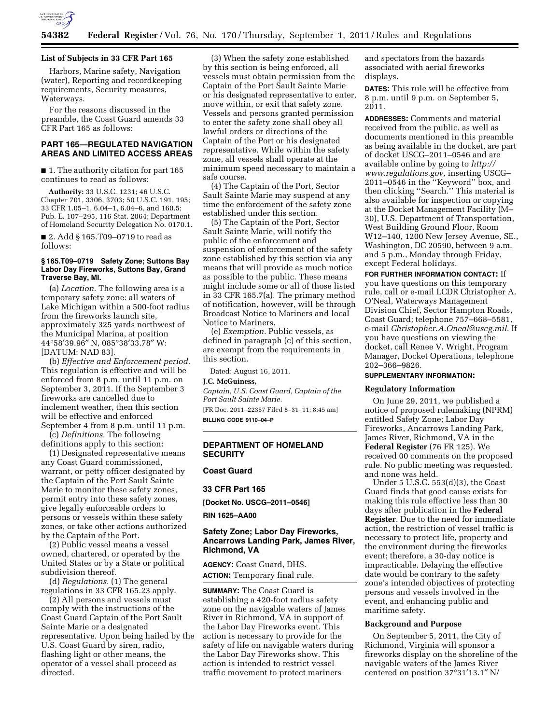

### **List of Subjects in 33 CFR Part 165**

Harbors, Marine safety, Navigation (water), Reporting and recordkeeping requirements, Security measures, Waterways.

For the reasons discussed in the preamble, the Coast Guard amends 33 CFR Part 165 as follows:

# **PART 165—REGULATED NAVIGATION AREAS AND LIMITED ACCESS AREAS**

■ 1. The authority citation for part 165 continues to read as follows:

**Authority:** 33 U.S.C. 1231; 46 U.S.C. Chapter 701, 3306, 3703; 50 U.S.C. 191, 195; 33 CFR 1.05–1, 6.04–1, 6.04–6, and 160.5; Pub. L. 107–295, 116 Stat. 2064; Department of Homeland Security Delegation No. 0170.1.

■ 2. Add § 165.T09–0719 to read as follows:

#### **§ 165.T09–0719 Safety Zone; Suttons Bay Labor Day Fireworks, Suttons Bay, Grand Traverse Bay, MI.**

(a) *Location.* The following area is a temporary safety zone: all waters of Lake Michigan within a 500-foot radius from the fireworks launch site, approximately 325 yards northwest of the Municipal Marina, at position 44°58′39.96″ N, 085°38′33.78″ W: [DATUM: NAD 83].

(b) *Effective and Enforcement period.*  This regulation is effective and will be enforced from 8 p.m. until 11 p.m. on September 3, 2011. If the September 3 fireworks are cancelled due to inclement weather, then this section will be effective and enforced September 4 from 8 p.m. until 11 p.m.

(c) *Definitions.* The following definitions apply to this section:

(1) Designated representative means any Coast Guard commissioned, warrant, or petty officer designated by the Captain of the Port Sault Sainte Marie to monitor these safety zones, permit entry into these safety zones, give legally enforceable orders to persons or vessels within these safety zones, or take other actions authorized by the Captain of the Port.

(2) Public vessel means a vessel owned, chartered, or operated by the United States or by a State or political subdivision thereof.

(d) *Regulations.* (1) The general regulations in 33 CFR 165.23 apply.

(2) All persons and vessels must comply with the instructions of the Coast Guard Captain of the Port Sault Sainte Marie or a designated representative. Upon being hailed by the U.S. Coast Guard by siren, radio, flashing light or other means, the operator of a vessel shall proceed as directed.

(3) When the safety zone established by this section is being enforced, all vessels must obtain permission from the Captain of the Port Sault Sainte Marie or his designated representative to enter, move within, or exit that safety zone. Vessels and persons granted permission to enter the safety zone shall obey all lawful orders or directions of the Captain of the Port or his designated representative. While within the safety zone, all vessels shall operate at the minimum speed necessary to maintain a safe course.

(4) The Captain of the Port, Sector Sault Sainte Marie may suspend at any time the enforcement of the safety zone established under this section.

(5) The Captain of the Port, Sector Sault Sainte Marie, will notify the public of the enforcement and suspension of enforcement of the safety zone established by this section via any means that will provide as much notice as possible to the public. These means might include some or all of those listed in 33 CFR 165.7(a). The primary method of notification, however, will be through Broadcast Notice to Mariners and local Notice to Mariners.

(e) *Exemption.* Public vessels, as defined in paragraph (c) of this section, are exempt from the requirements in this section.

Dated: August 16, 2011.

#### **J.C. McGuiness,**

*Captain, U.S. Coast Guard, Captain of the Port Sault Sainte Marie.* 

[FR Doc. 2011–22357 Filed 8–31–11; 8:45 am] **BILLING CODE 9110–04–P** 

## **DEPARTMENT OF HOMELAND SECURITY**

#### **Coast Guard**

**33 CFR Part 165** 

**[Docket No. USCG–2011–0546]** 

**RIN 1625–AA00** 

# **Safety Zone; Labor Day Fireworks, Ancarrows Landing Park, James River, Richmond, VA**

**AGENCY:** Coast Guard, DHS. **ACTION:** Temporary final rule.

**SUMMARY:** The Coast Guard is establishing a 420-foot radius safety zone on the navigable waters of James River in Richmond, VA in support of the Labor Day Fireworks event. This action is necessary to provide for the safety of life on navigable waters during the Labor Day Fireworks show. This action is intended to restrict vessel traffic movement to protect mariners

and spectators from the hazards associated with aerial fireworks displays.

**DATES:** This rule will be effective from 8 p.m. until 9 p.m. on September 5, 2011.

**ADDRESSES:** Comments and material received from the public, as well as documents mentioned in this preamble as being available in the docket, are part of docket USCG–2011–0546 and are available online by going to *[http://](http://www.regulations.gov)  [www.regulations.gov,](http://www.regulations.gov)* inserting USCG– 2011–0546 in the ''Keyword'' box, and then clicking ''Search.'' This material is also available for inspection or copying at the Docket Management Facility (M– 30), U.S. Department of Transportation, West Building Ground Floor, Room W12–140, 1200 New Jersey Avenue, SE., Washington, DC 20590, between 9 a.m. and 5 p.m., Monday through Friday, except Federal holidays.

**FOR FURTHER INFORMATION CONTACT:** If you have questions on this temporary rule, call or e-mail LCDR Christopher A. O'Neal, Waterways Management Division Chief, Sector Hampton Roads, Coast Guard; telephone 757–668–5581, e-mail *[Christopher.A.Oneal@uscg.mil.](mailto:Christopher.A.Oneal@uscg.mil)* If you have questions on viewing the docket, call Renee V. Wright, Program Manager, Docket Operations, telephone 202–366–9826.

#### **SUPPLEMENTARY INFORMATION:**

#### **Regulatory Information**

On June 29, 2011, we published a notice of proposed rulemaking (NPRM) entitled Safety Zone; Labor Day Fireworks, Ancarrows Landing Park, James River, Richmond, VA in the **Federal Register** (76 FR 125). We received 00 comments on the proposed rule. No public meeting was requested, and none was held.

Under 5 U.S.C. 553(d)(3), the Coast Guard finds that good cause exists for making this rule effective less than 30 days after publication in the **Federal Register**. Due to the need for immediate action, the restriction of vessel traffic is necessary to protect life, property and the environment during the fireworks event; therefore, a 30-day notice is impracticable. Delaying the effective date would be contrary to the safety zone's intended objectives of protecting persons and vessels involved in the event, and enhancing public and maritime safety.

#### **Background and Purpose**

On September 5, 2011, the City of Richmond, Virginia will sponsor a fireworks display on the shoreline of the navigable waters of the James River centered on position 37°31′13.1″ N/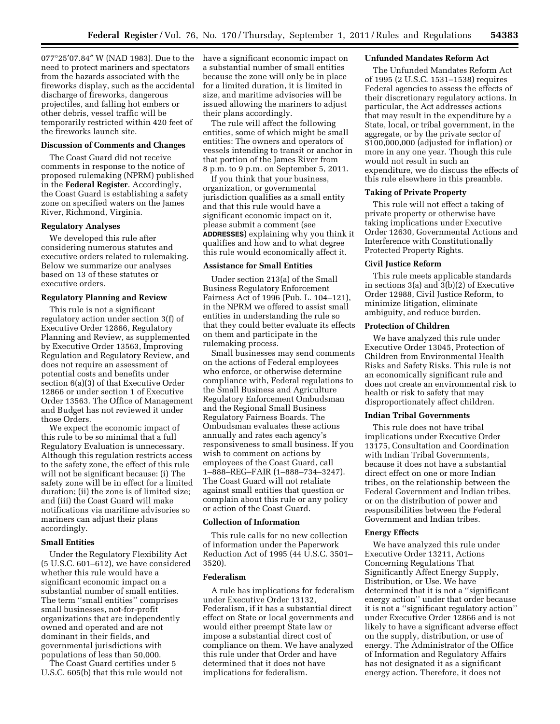077°25′07.84″ W (NAD 1983). Due to the need to protect mariners and spectators from the hazards associated with the fireworks display, such as the accidental discharge of fireworks, dangerous projectiles, and falling hot embers or other debris, vessel traffic will be temporarily restricted within 420 feet of the fireworks launch site.

### **Discussion of Comments and Changes**

The Coast Guard did not receive comments in response to the notice of proposed rulemaking (NPRM) published in the **Federal Register**. Accordingly, the Coast Guard is establishing a safety zone on specified waters on the James River, Richmond, Virginia.

### **Regulatory Analyses**

We developed this rule after considering numerous statutes and executive orders related to rulemaking. Below we summarize our analyses based on 13 of these statutes or executive orders.

#### **Regulatory Planning and Review**

This rule is not a significant regulatory action under section 3(f) of Executive Order 12866, Regulatory Planning and Review, as supplemented by Executive Order 13563, Improving Regulation and Regulatory Review, and does not require an assessment of potential costs and benefits under section 6(a)(3) of that Executive Order 12866 or under section 1 of Executive Order 13563. The Office of Management and Budget has not reviewed it under those Orders.

We expect the economic impact of this rule to be so minimal that a full Regulatory Evaluation is unnecessary. Although this regulation restricts access to the safety zone, the effect of this rule will not be significant because: (i) The safety zone will be in effect for a limited duration; (ii) the zone is of limited size; and (iii) the Coast Guard will make notifications via maritime advisories so mariners can adjust their plans accordingly.

### **Small Entities**

Under the Regulatory Flexibility Act (5 U.S.C. 601–612), we have considered whether this rule would have a significant economic impact on a substantial number of small entities. The term ''small entities'' comprises small businesses, not-for-profit organizations that are independently owned and operated and are not dominant in their fields, and governmental jurisdictions with populations of less than 50,000.

The Coast Guard certifies under 5 U.S.C. 605(b) that this rule would not have a significant economic impact on a substantial number of small entities because the zone will only be in place for a limited duration, it is limited in size, and maritime advisories will be issued allowing the mariners to adjust their plans accordingly.

The rule will affect the following entities, some of which might be small entities: The owners and operators of vessels intending to transit or anchor in that portion of the James River from 8 p.m. to 9 p.m. on September 5, 2011.

If you think that your business, organization, or governmental jurisdiction qualifies as a small entity and that this rule would have a significant economic impact on it, please submit a comment (see **ADDRESSES**) explaining why you think it qualifies and how and to what degree this rule would economically affect it.

### **Assistance for Small Entities**

Under section 213(a) of the Small Business Regulatory Enforcement Fairness Act of 1996 (Pub. L. 104–121), in the NPRM we offered to assist small entities in understanding the rule so that they could better evaluate its effects on them and participate in the rulemaking process.

Small businesses may send comments on the actions of Federal employees who enforce, or otherwise determine compliance with, Federal regulations to the Small Business and Agriculture Regulatory Enforcement Ombudsman and the Regional Small Business Regulatory Fairness Boards. The Ombudsman evaluates these actions annually and rates each agency's responsiveness to small business. If you wish to comment on actions by employees of the Coast Guard, call 1–888–REG–FAIR (1–888–734–3247). The Coast Guard will not retaliate against small entities that question or complain about this rule or any policy or action of the Coast Guard.

#### **Collection of Information**

This rule calls for no new collection of information under the Paperwork Reduction Act of 1995 (44 U.S.C. 3501– 3520).

## **Federalism**

A rule has implications for federalism under Executive Order 13132, Federalism, if it has a substantial direct effect on State or local governments and would either preempt State law or impose a substantial direct cost of compliance on them. We have analyzed this rule under that Order and have determined that it does not have implications for federalism.

### **Unfunded Mandates Reform Act**

The Unfunded Mandates Reform Act of 1995 (2 U.S.C. 1531–1538) requires Federal agencies to assess the effects of their discretionary regulatory actions. In particular, the Act addresses actions that may result in the expenditure by a State, local, or tribal government, in the aggregate, or by the private sector of \$100,000,000 (adjusted for inflation) or more in any one year. Though this rule would not result in such an expenditure, we do discuss the effects of this rule elsewhere in this preamble.

### **Taking of Private Property**

This rule will not effect a taking of private property or otherwise have taking implications under Executive Order 12630, Governmental Actions and Interference with Constitutionally Protected Property Rights.

#### **Civil Justice Reform**

This rule meets applicable standards in sections 3(a) and 3(b)(2) of Executive Order 12988, Civil Justice Reform, to minimize litigation, eliminate ambiguity, and reduce burden.

### **Protection of Children**

We have analyzed this rule under Executive Order 13045, Protection of Children from Environmental Health Risks and Safety Risks. This rule is not an economically significant rule and does not create an environmental risk to health or risk to safety that may disproportionately affect children.

### **Indian Tribal Governments**

This rule does not have tribal implications under Executive Order 13175, Consultation and Coordination with Indian Tribal Governments, because it does not have a substantial direct effect on one or more Indian tribes, on the relationship between the Federal Government and Indian tribes, or on the distribution of power and responsibilities between the Federal Government and Indian tribes.

### **Energy Effects**

We have analyzed this rule under Executive Order 13211, Actions Concerning Regulations That Significantly Affect Energy Supply, Distribution, or Use. We have determined that it is not a ''significant energy action'' under that order because it is not a ''significant regulatory action'' under Executive Order 12866 and is not likely to have a significant adverse effect on the supply, distribution, or use of energy. The Administrator of the Office of Information and Regulatory Affairs has not designated it as a significant energy action. Therefore, it does not